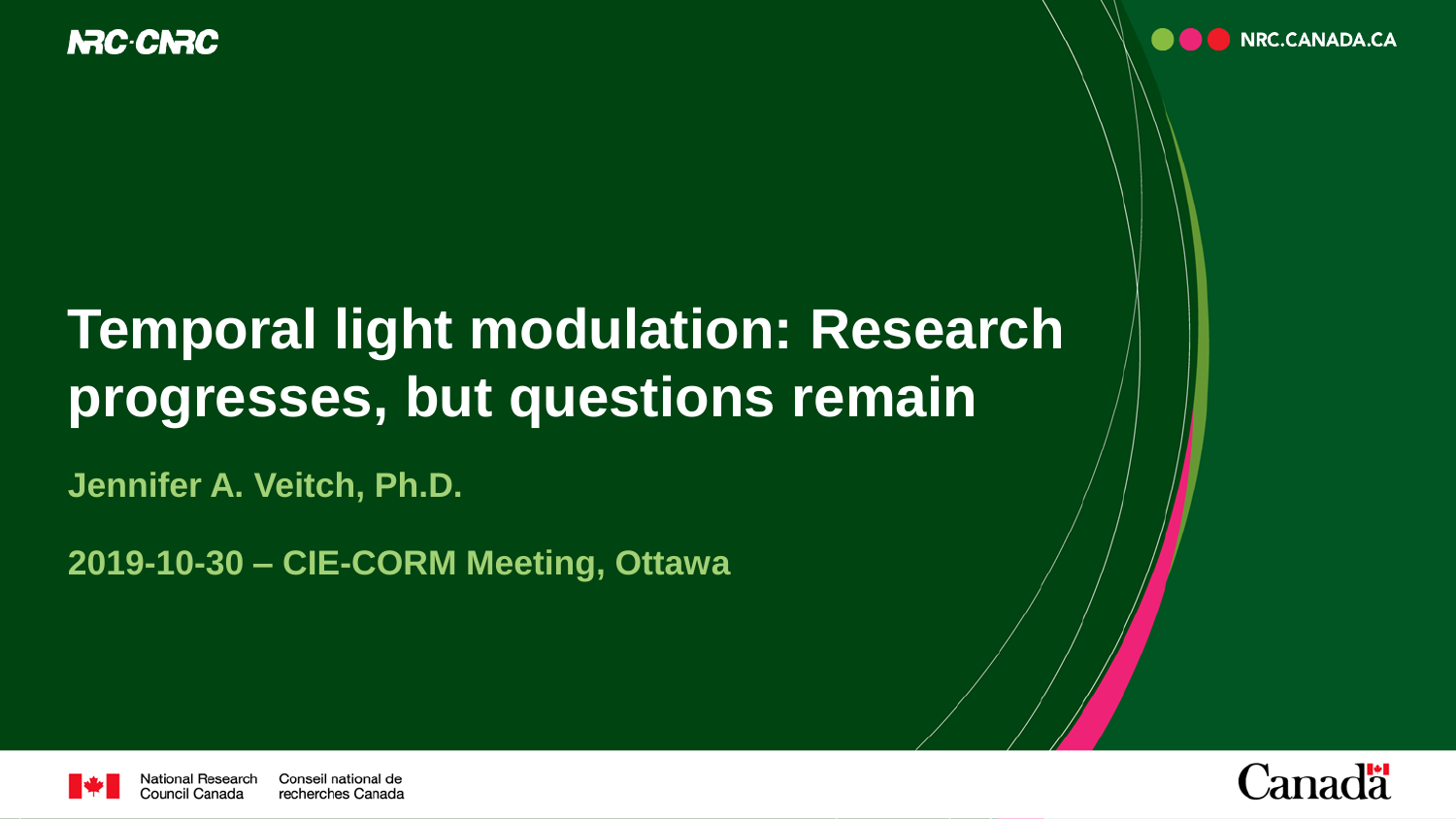

### **Temporal light modulation: Research progresses, but questions remain**

**Jennifer A. Veitch, Ph.D.** 

**2019-10-30 – CIE-CORM Meeting, Ottawa**



ional Research Conseil national de recherches Canada cil Canada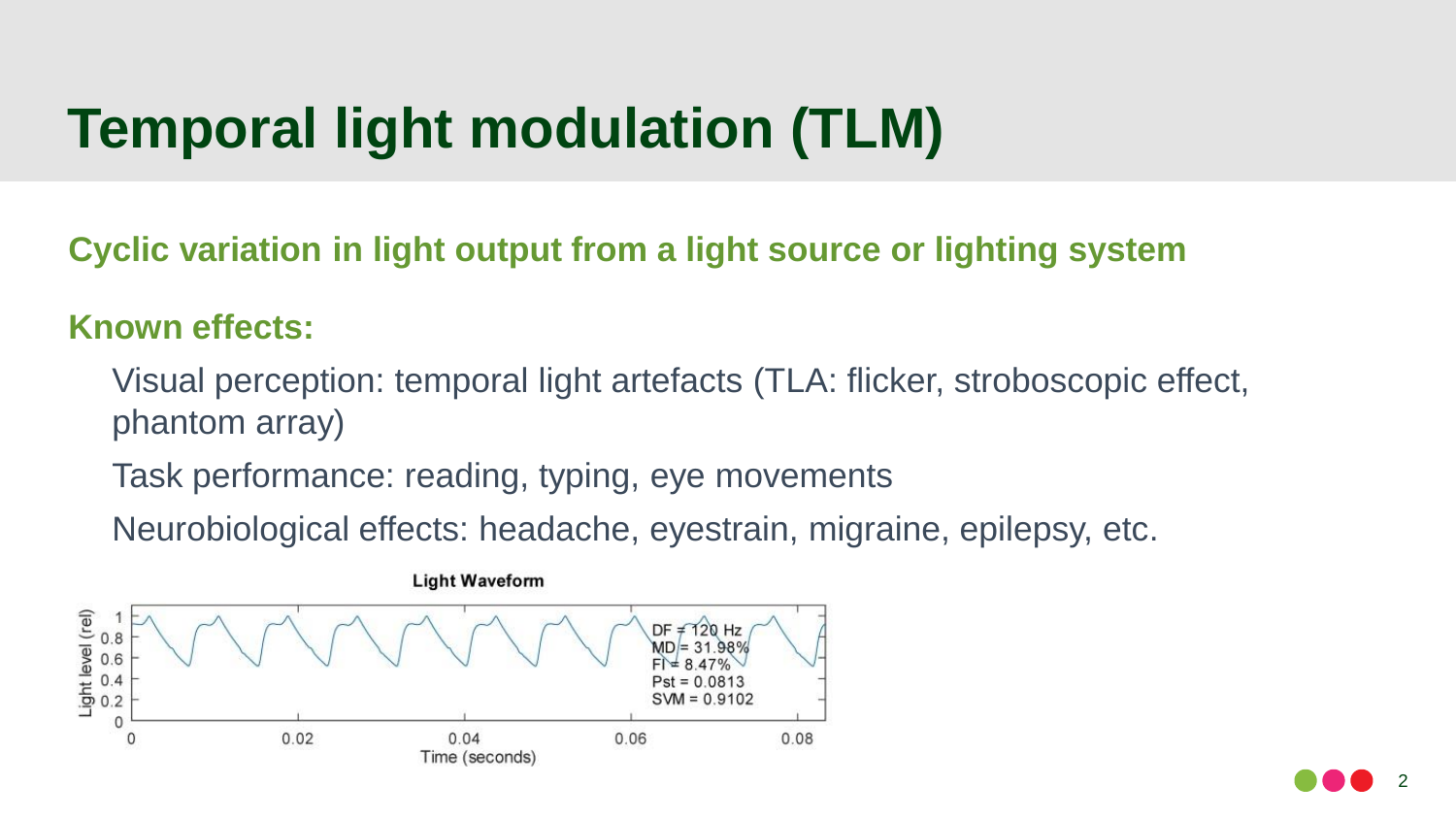### **Temporal light modulation (TLM)**

**Cyclic variation in light output from a light source or lighting system**

#### **Known effects:**

Visual perception: temporal light artefacts (TLA: flicker, stroboscopic effect, phantom array)

Task performance: reading, typing, eye movements

Neurobiological effects: headache, eyestrain, migraine, epilepsy, etc.

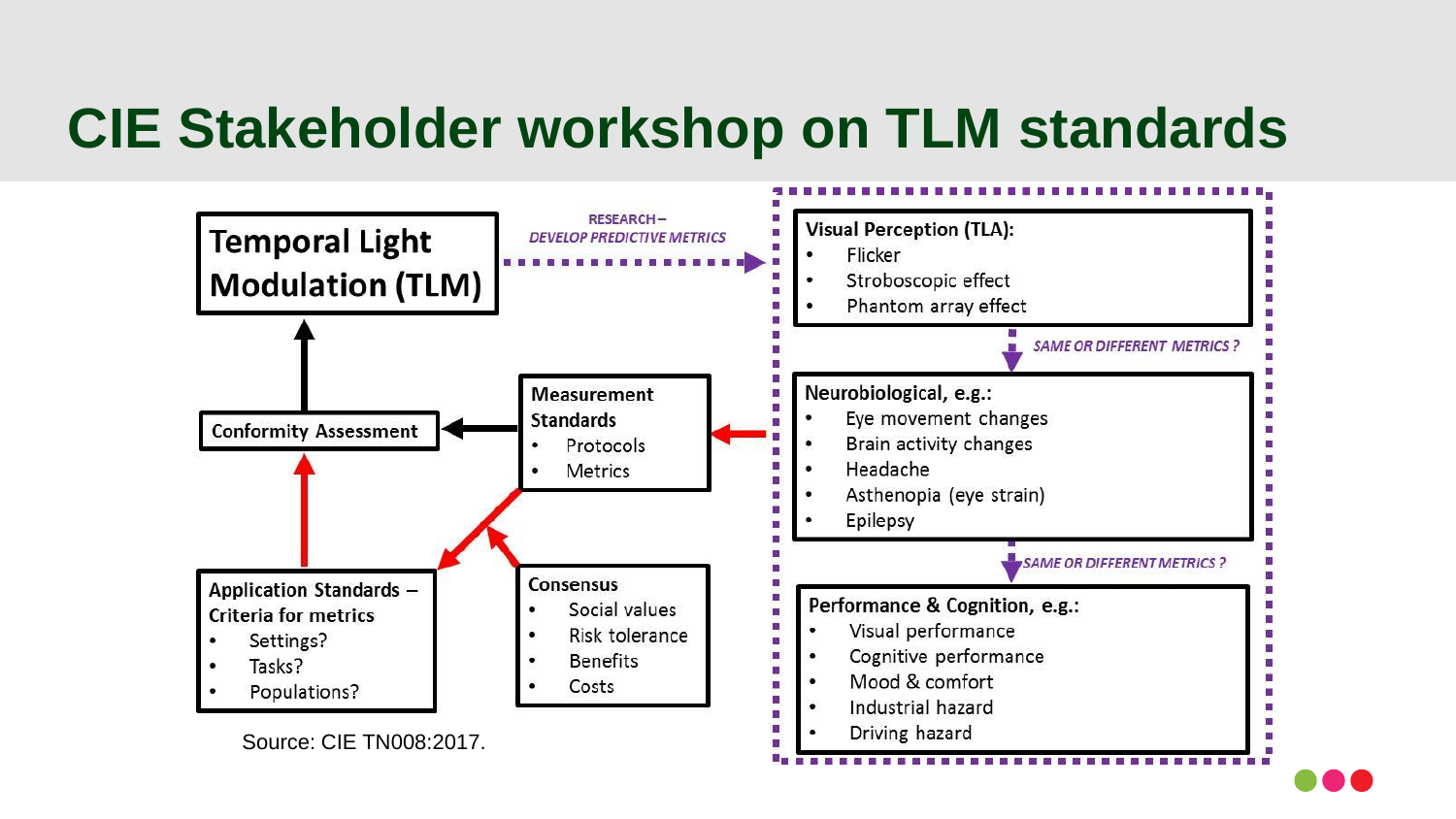### **CIE Stakeholder workshop on TLM standards**

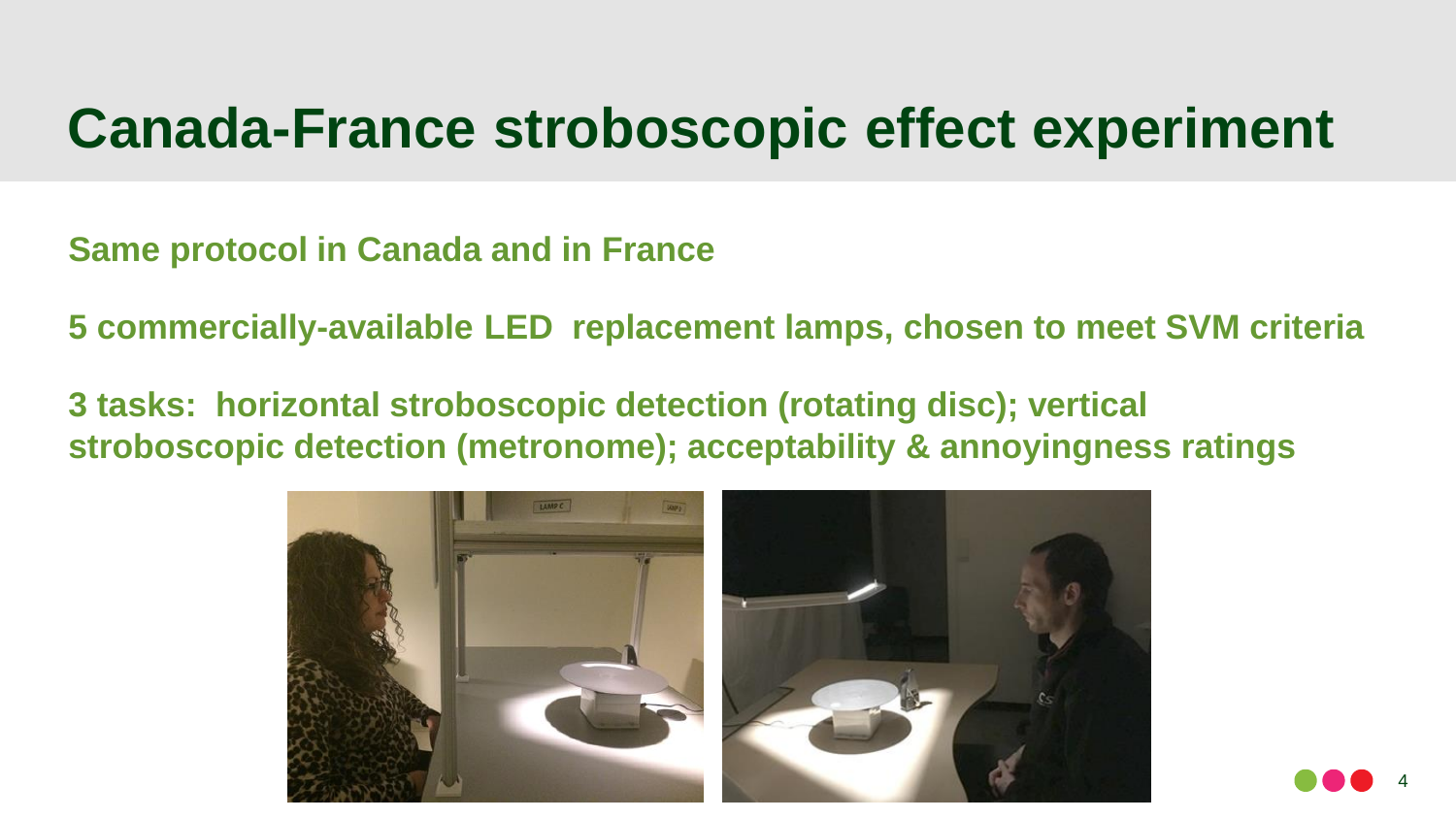#### **Canada-France stroboscopic effect experiment**

**Same protocol in Canada and in France**

**5 commercially-available LED replacement lamps, chosen to meet SVM criteria**

**3 tasks: horizontal stroboscopic detection (rotating disc); vertical stroboscopic detection (metronome); acceptability & annoyingness ratings**



4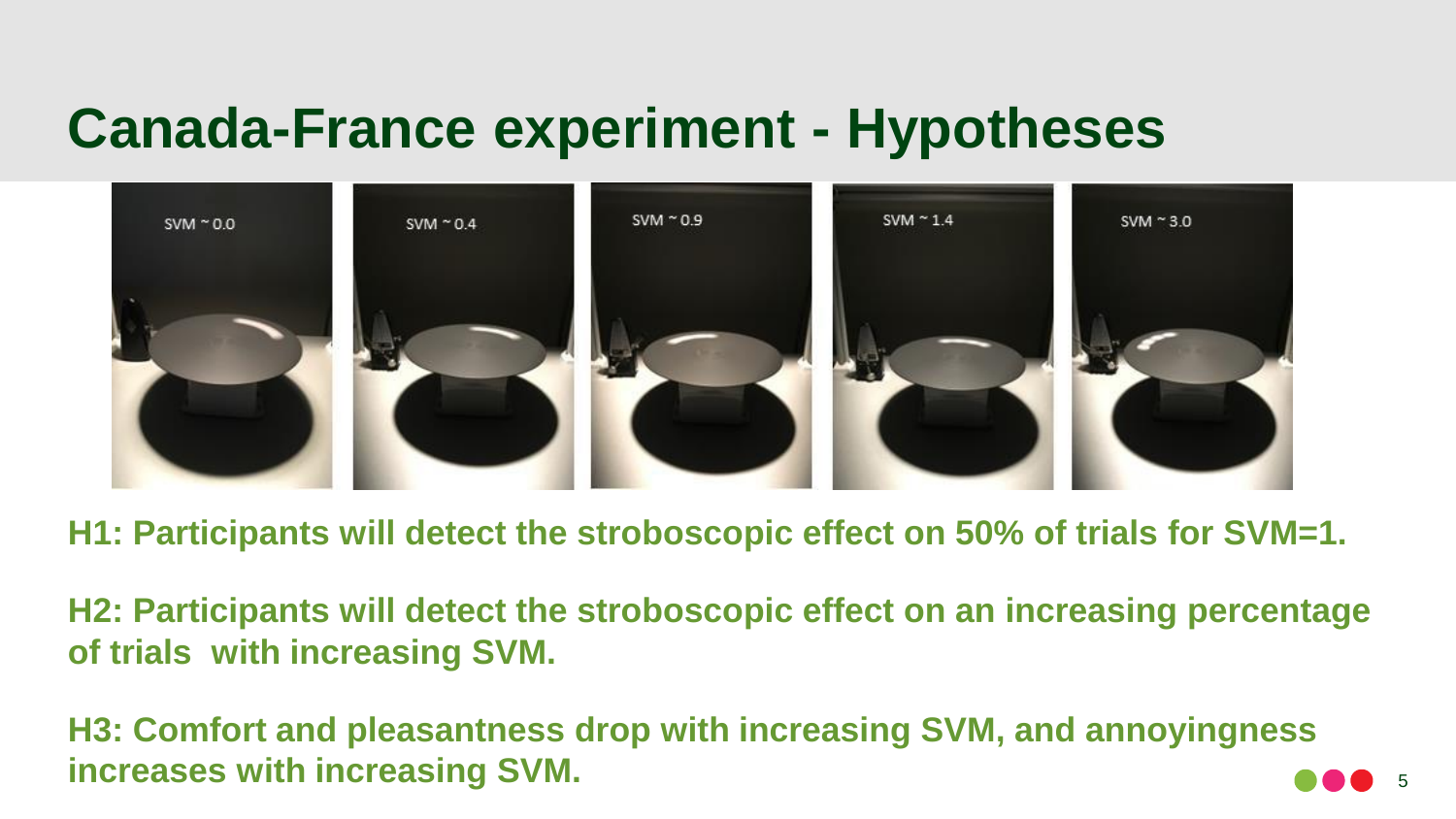#### **Canada-France experiment - Hypotheses**



**H1: Participants will detect the stroboscopic effect on 50% of trials for SVM=1.** 

**H2: Participants will detect the stroboscopic effect on an increasing percentage of trials with increasing SVM.**

5

**H3: Comfort and pleasantness drop with increasing SVM, and annoyingness increases with increasing SVM.**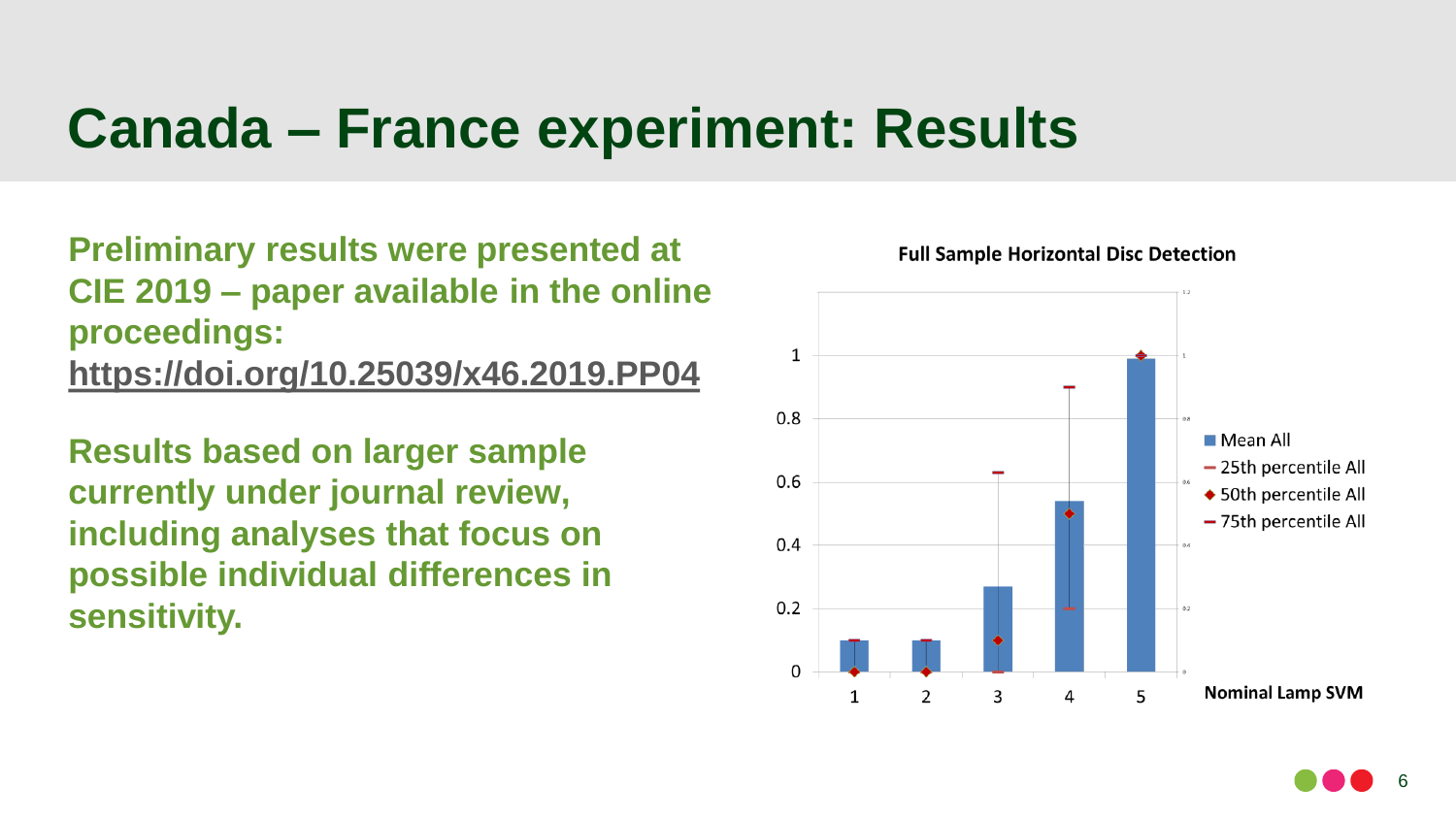#### **Canada – France experiment: Results**

**Preliminary results were presented at CIE 2019 – paper available in the online proceedings: <https://doi.org/10.25039/x46.2019.PP04>**

**Results based on larger sample currently under journal review, including analyses that focus on possible individual differences in sensitivity.**



#### **Full Sample Horizontal Disc Detection**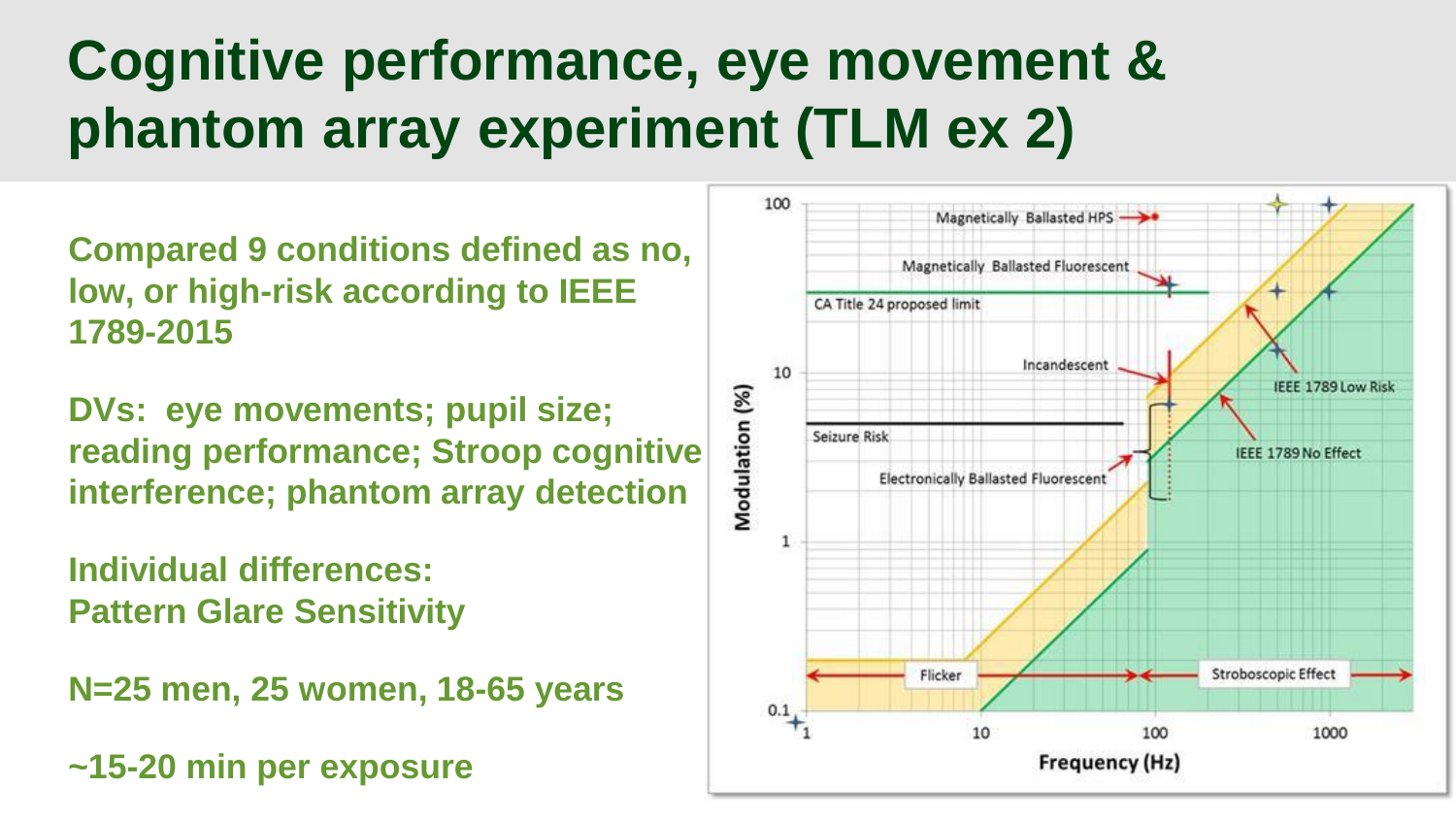## **Cognitive performance, eye movement & phantom array experiment (TLM ex 2)**

**Compared 9 conditions defined as no, low, or high-risk according to IEEE 1789-2015**

**DVs: eye movements; pupil size; reading performance; Stroop cognitive interference; phantom array detection**

**Individual differences: Pattern Glare Sensitivity**

**N=25 men, 25 women, 18-65 years**

**~15-20 min per exposure**

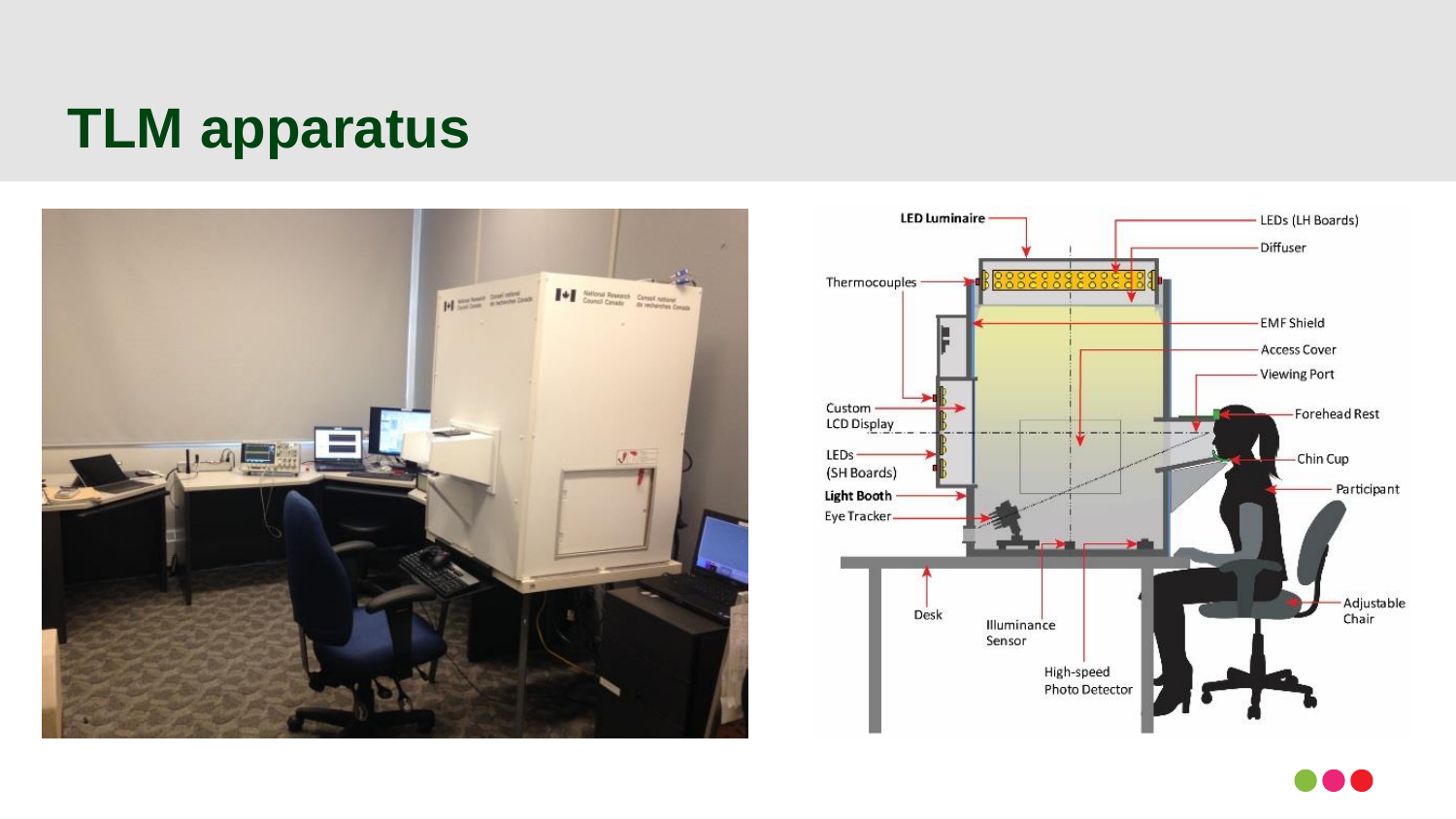### **TLM apparatus**





**...**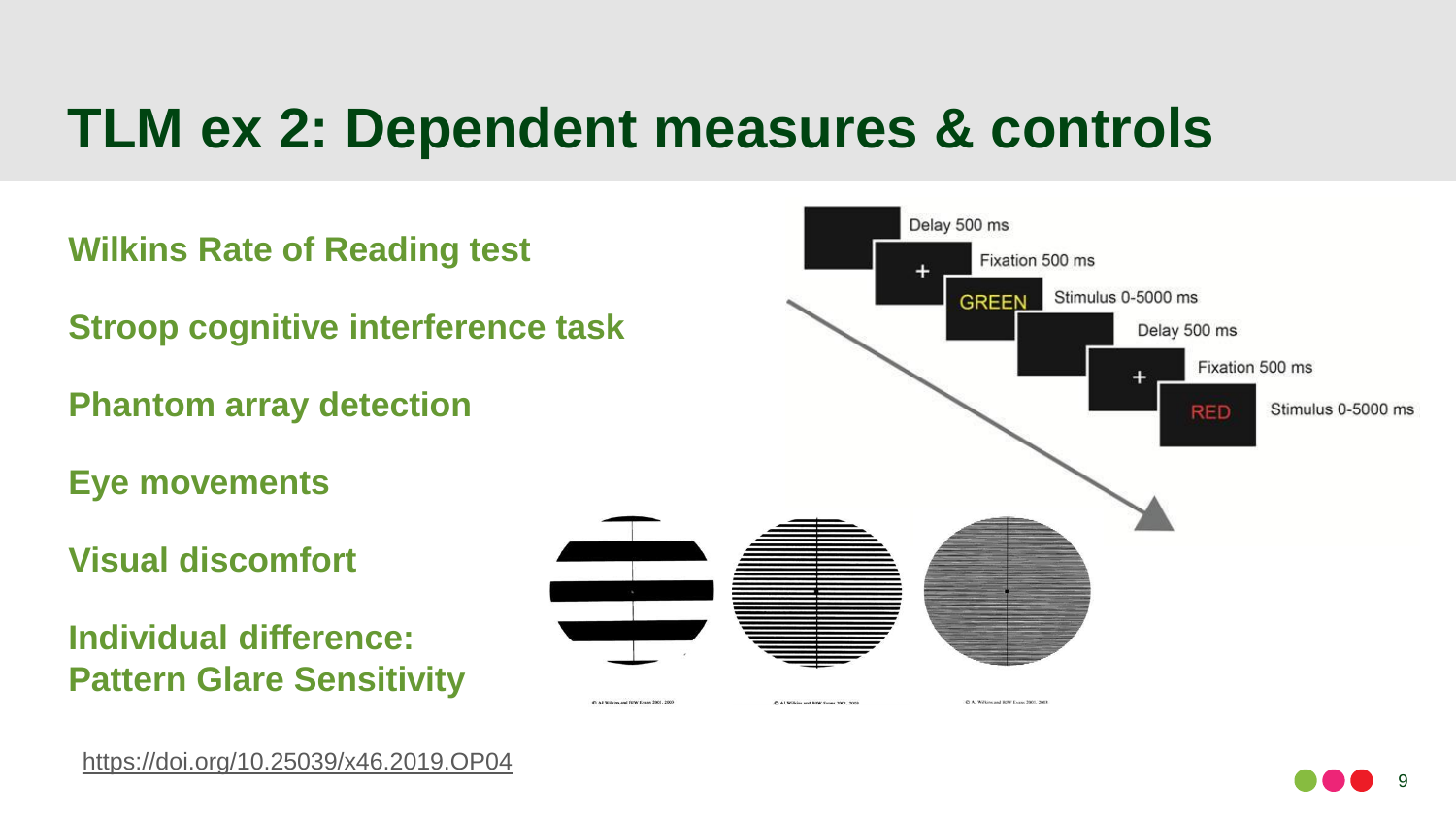### **TLM ex 2: Dependent measures & controls**



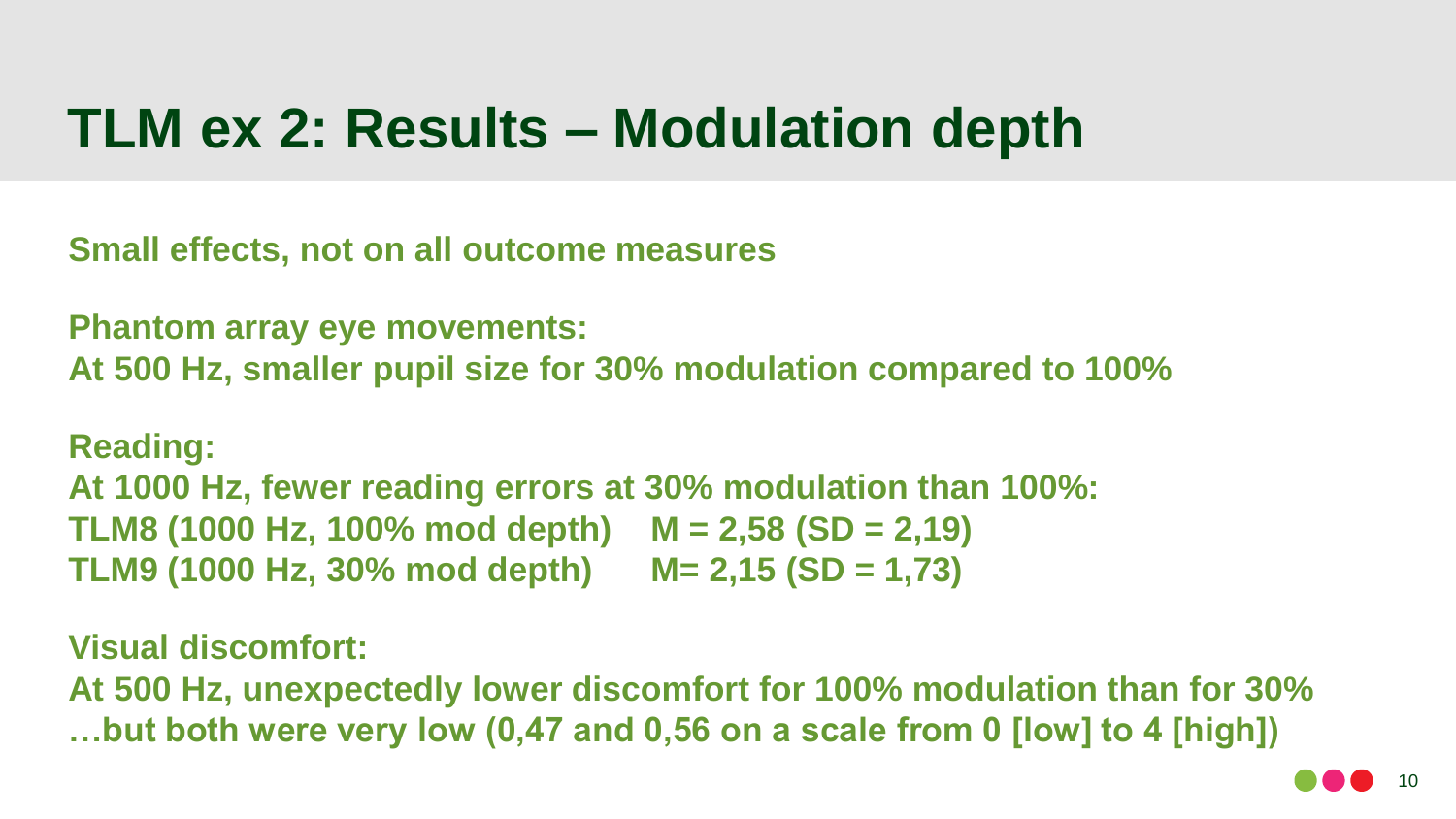### **TLM ex 2: Results – Modulation depth**

**Small effects, not on all outcome measures**

**Phantom array eye movements: At 500 Hz, smaller pupil size for 30% modulation compared to 100%**

#### **Reading:**

**At 1000 Hz, fewer reading errors at 30% modulation than 100%: TLM8 (1000 Hz, 100% mod depth) M = 2,58 (SD = 2,19) TLM9 (1000 Hz, 30% mod depth) M= 2,15 (SD = 1,73)**

**Visual discomfort: At 500 Hz, unexpectedly lower discomfort for 100% modulation than for 30% …but both were very low (0,47 and 0,56 on a scale from 0 [low] to 4 [high])**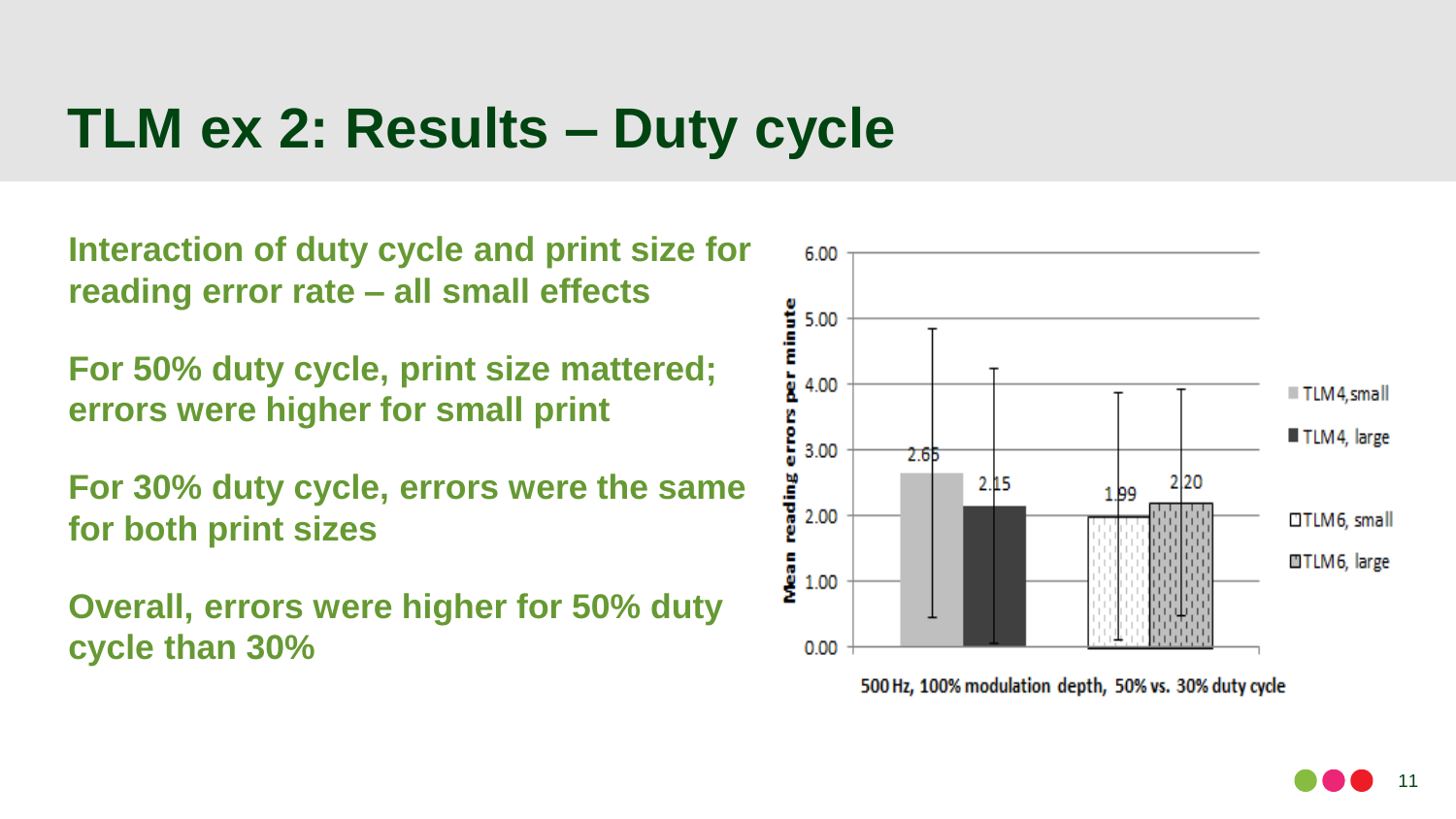#### **TLM ex 2: Results – Duty cycle**

**Interaction of duty cycle and print size for reading error rate – all small effects**

**For 50% duty cycle, print size mattered; errors were higher for small print**

**For 30% duty cycle, errors were the same for both print sizes**

**Overall, errors were higher for 50% duty cycle than 30%**



500 Hz, 100% modulation depth, 50% vs. 30% duty cycle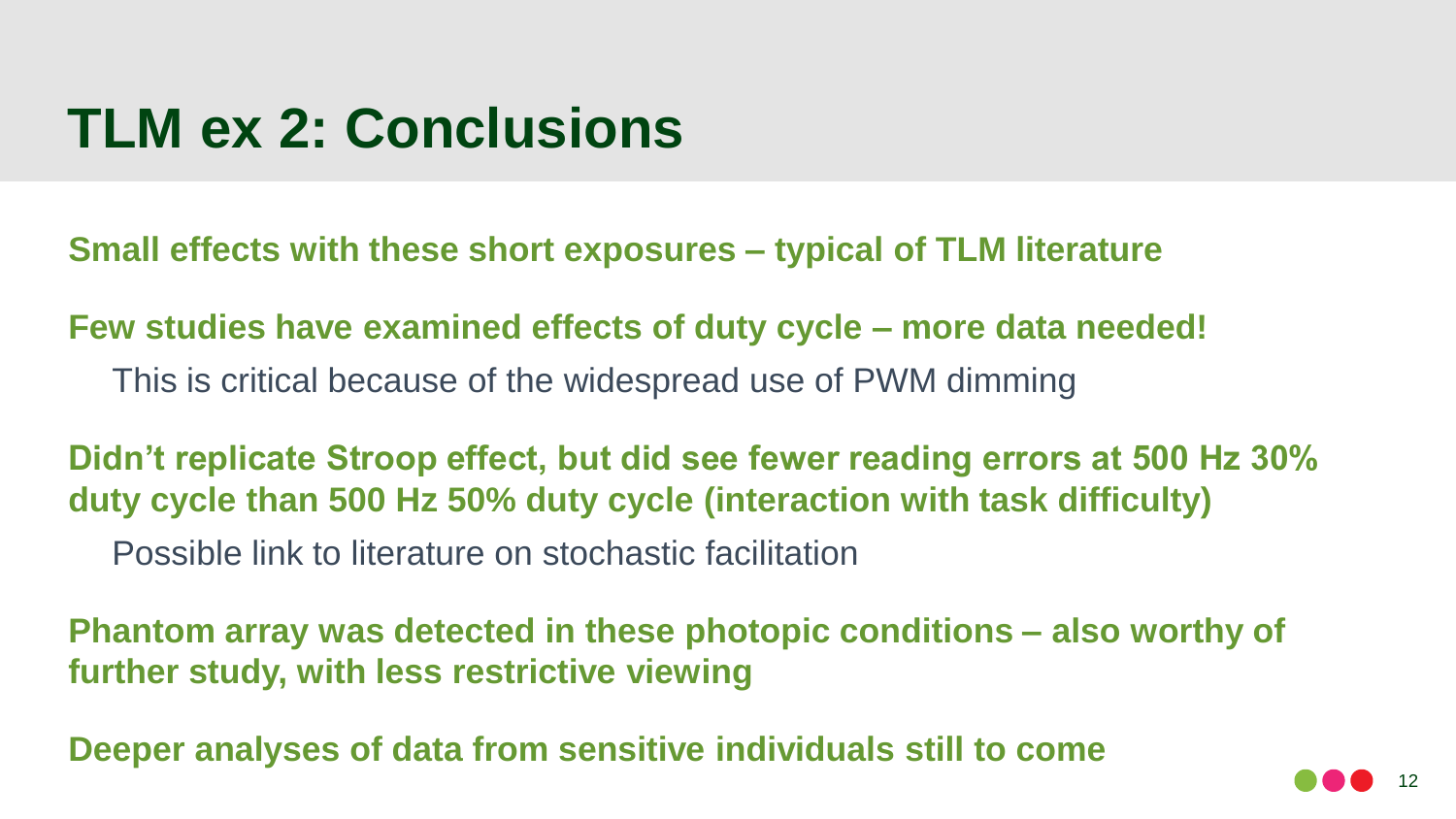#### **TLM ex 2: Conclusions**

**Small effects with these short exposures – typical of TLM literature**

**Few studies have examined effects of duty cycle – more data needed!** This is critical because of the widespread use of PWM dimming

**Didn't replicate Stroop effect, but did see fewer reading errors at 500 Hz 30% duty cycle than 500 Hz 50% duty cycle (interaction with task difficulty)**

Possible link to literature on stochastic facilitation

**Phantom array was detected in these photopic conditions – also worthy of further study, with less restrictive viewing**

**Deeper analyses of data from sensitive individuals still to come**

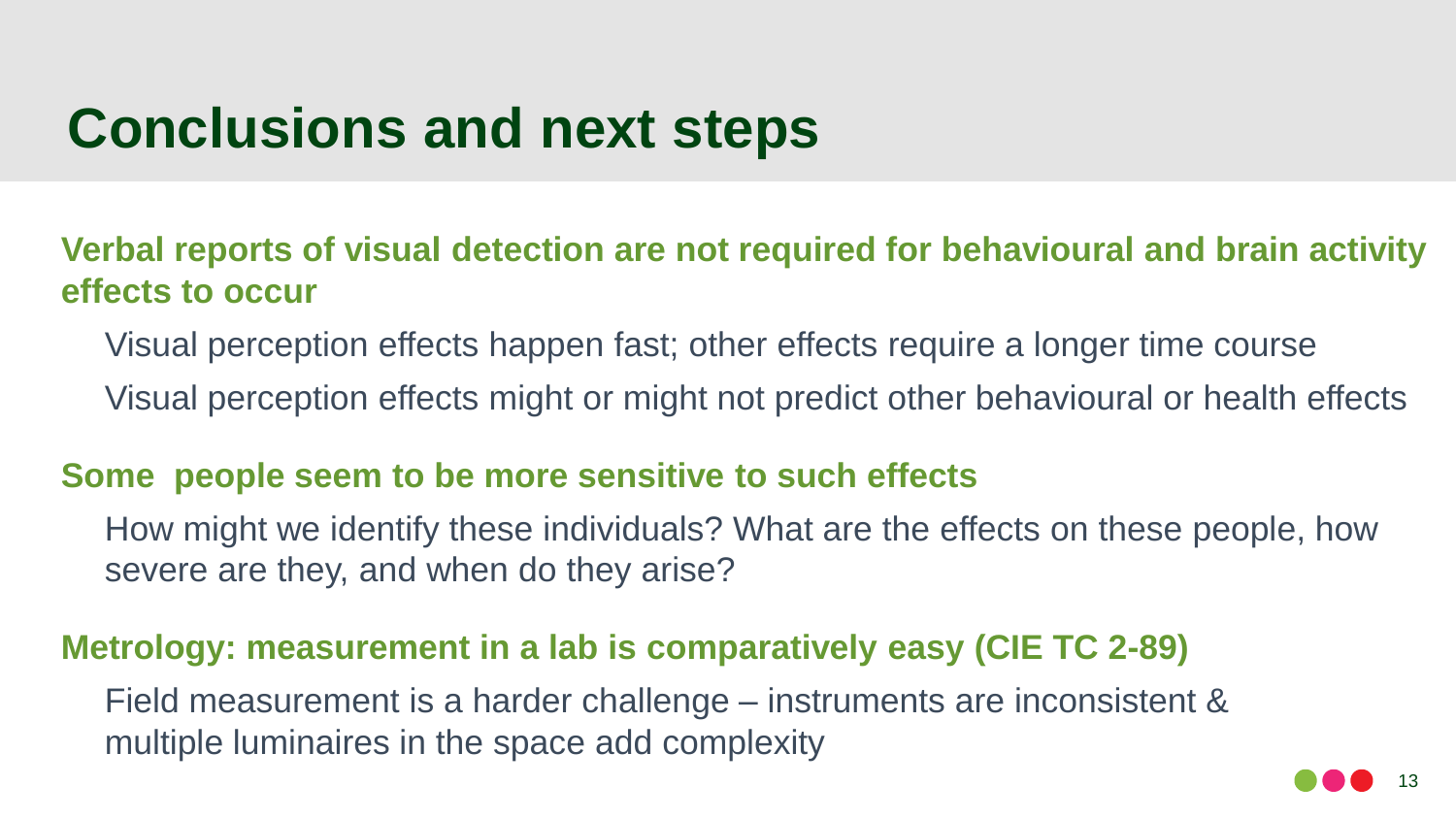#### **Conclusions and next steps**

**Verbal reports of visual detection are not required for behavioural and brain activity effects to occur**

Visual perception effects happen fast; other effects require a longer time course

Visual perception effects might or might not predict other behavioural or health effects

#### **Some people seem to be more sensitive to such effects**

How might we identify these individuals? What are the effects on these people, how severe are they, and when do they arise?

#### **Metrology: measurement in a lab is comparatively easy (CIE TC 2-89)**

Field measurement is a harder challenge – instruments are inconsistent & multiple luminaires in the space add complexity